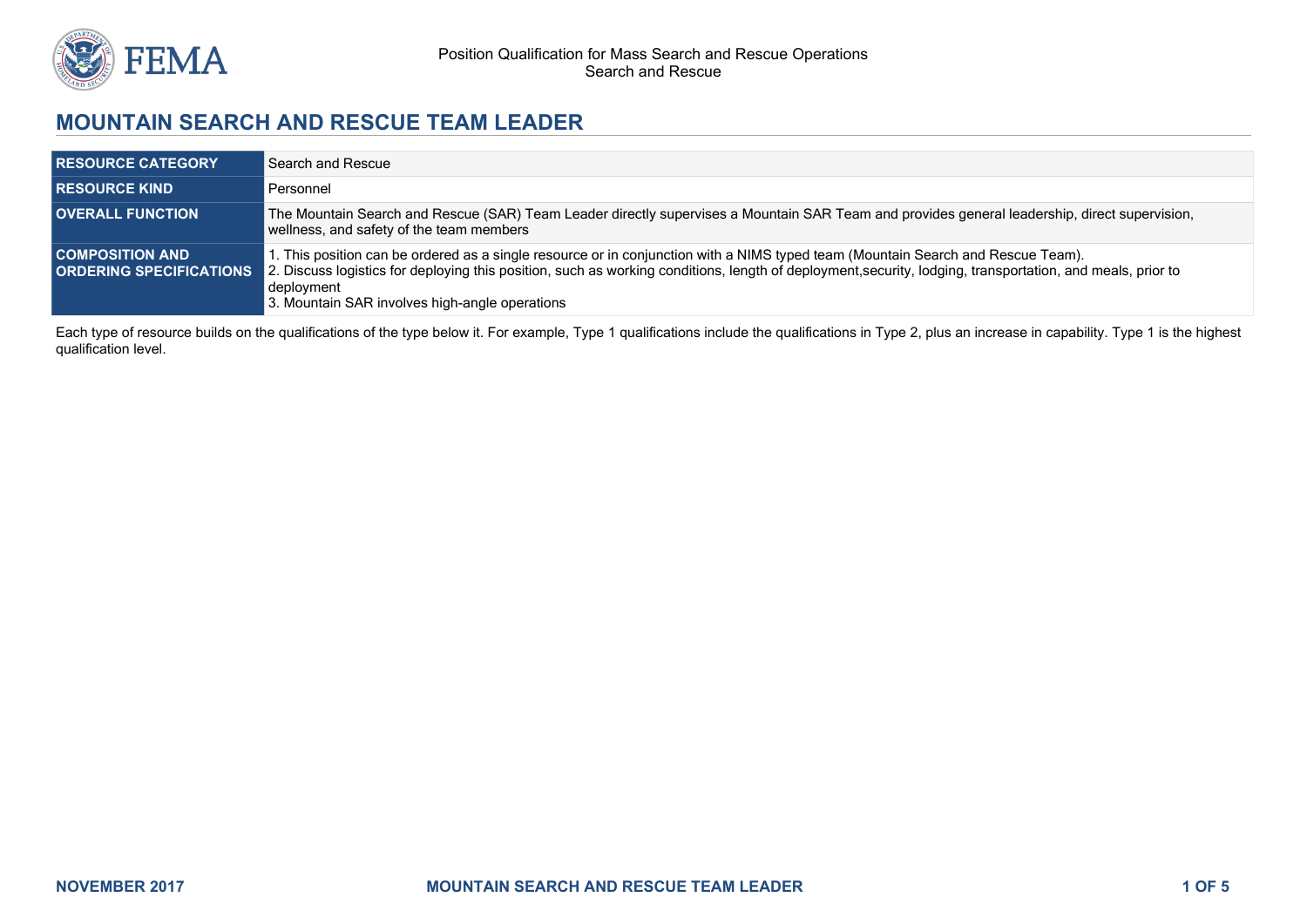

# **MOUNTAIN SEARCH AND RESCUE TEAM LEADER**

| <b>RESOURCE CATEGORY</b>                                 | Search and Rescue                                                                                                                                                                                                                                                                                                                                              |
|----------------------------------------------------------|----------------------------------------------------------------------------------------------------------------------------------------------------------------------------------------------------------------------------------------------------------------------------------------------------------------------------------------------------------------|
| <b>RESOURCE KIND</b>                                     | Personnel                                                                                                                                                                                                                                                                                                                                                      |
| <b>OVERALL FUNCTION</b>                                  | The Mountain Search and Rescue (SAR) Team Leader directly supervises a Mountain SAR Team and provides general leadership, direct supervision,<br>wellness, and safety of the team members                                                                                                                                                                      |
| <b>COMPOSITION AND</b><br><b>ORDERING SPECIFICATIONS</b> | I. This position can be ordered as a single resource or in conjunction with a NIMS typed team (Mountain Search and Rescue Team).<br>2. Discuss logistics for deploying this position, such as working conditions, length of deployment, security, lodging, transportation, and meals, prior to<br>deployment<br>3. Mountain SAR involves high-angle operations |

Each type of resource builds on the qualifications of the type below it. For example, Type 1 qualifications include the qualifications in Type 2, plus an increase in capability. Type 1 is the highest qualification level.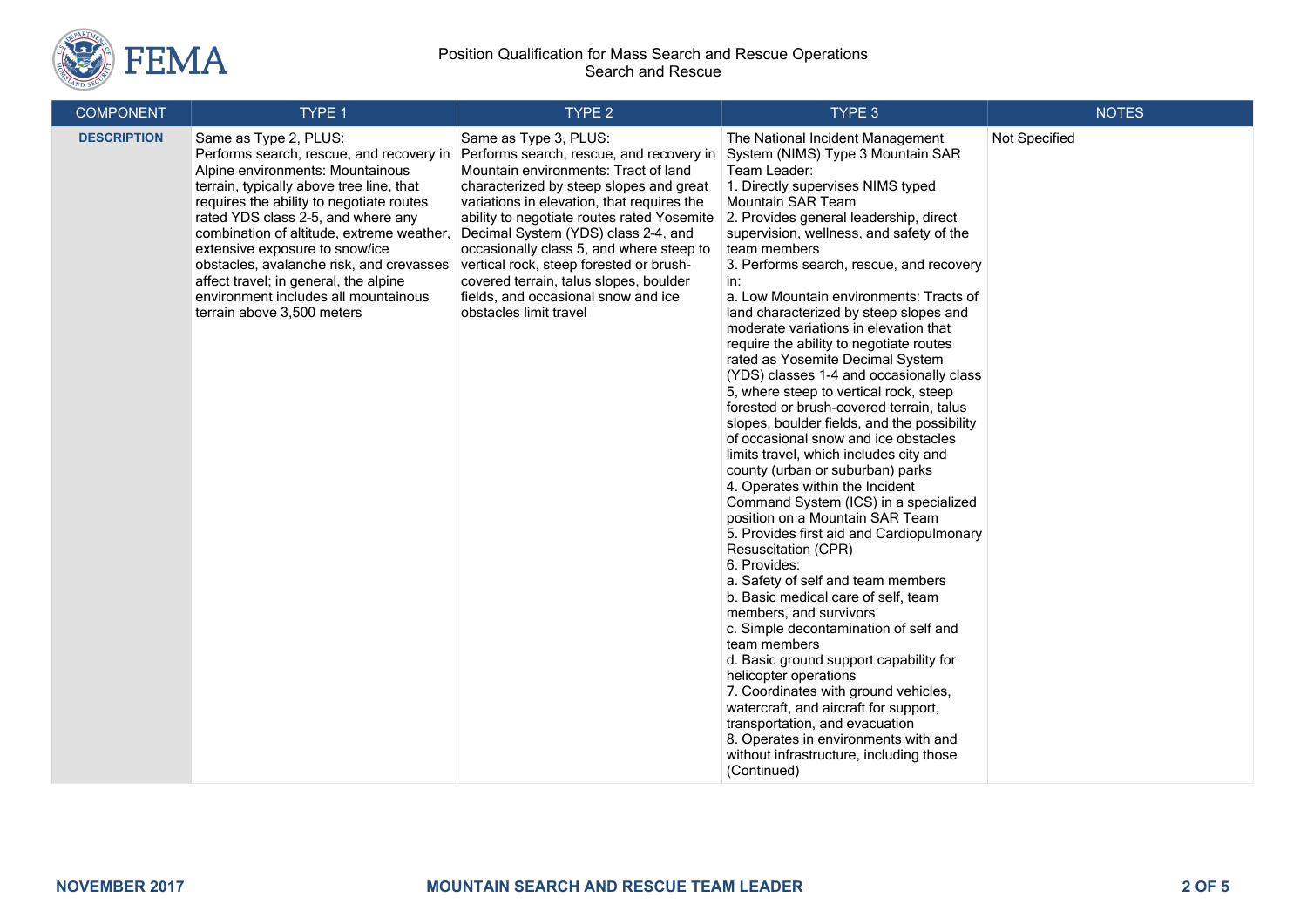

#### Position Qualification for Mass Search and Rescue Operations Search and Rescue

| <b>COMPONENT</b>   | TYPE 1                                                                                                                                                                                                                                                                                                                                                                                                                                                                        | TYPE <sub>2</sub>                                                                                                                                                                                                                                                                                                                                                                                                                                                                         | TYPE 3                                                                                                                                                                                                                                                                                                                                                                                                                                                                                                                                                                                                                                                                                                                                                                                                                                                                                                                                                                                                                                                                                                                                                                                                                                                                                                                                                                                                                                                                                         | <b>NOTES</b>  |
|--------------------|-------------------------------------------------------------------------------------------------------------------------------------------------------------------------------------------------------------------------------------------------------------------------------------------------------------------------------------------------------------------------------------------------------------------------------------------------------------------------------|-------------------------------------------------------------------------------------------------------------------------------------------------------------------------------------------------------------------------------------------------------------------------------------------------------------------------------------------------------------------------------------------------------------------------------------------------------------------------------------------|------------------------------------------------------------------------------------------------------------------------------------------------------------------------------------------------------------------------------------------------------------------------------------------------------------------------------------------------------------------------------------------------------------------------------------------------------------------------------------------------------------------------------------------------------------------------------------------------------------------------------------------------------------------------------------------------------------------------------------------------------------------------------------------------------------------------------------------------------------------------------------------------------------------------------------------------------------------------------------------------------------------------------------------------------------------------------------------------------------------------------------------------------------------------------------------------------------------------------------------------------------------------------------------------------------------------------------------------------------------------------------------------------------------------------------------------------------------------------------------------|---------------|
| <b>DESCRIPTION</b> | Same as Type 2, PLUS:<br>Performs search, rescue, and recovery in<br>Alpine environments: Mountainous<br>terrain, typically above tree line, that<br>requires the ability to negotiate routes<br>rated YDS class 2-5, and where any<br>combination of altitude, extreme weather.<br>extensive exposure to snow/ice<br>obstacles, avalanche risk, and crevasses<br>affect travel; in general, the alpine<br>environment includes all mountainous<br>terrain above 3,500 meters | Same as Type 3, PLUS:<br>Performs search, rescue, and recovery in<br>Mountain environments: Tract of land<br>characterized by steep slopes and great<br>variations in elevation, that requires the<br>ability to negotiate routes rated Yosemite<br>Decimal System (YDS) class 2-4, and<br>occasionally class 5, and where steep to<br>vertical rock, steep forested or brush-<br>covered terrain, talus slopes, boulder<br>fields, and occasional snow and ice<br>obstacles limit travel | The National Incident Management<br>System (NIMS) Type 3 Mountain SAR<br>Team Leader:<br>1. Directly supervises NIMS typed<br>Mountain SAR Team<br>2. Provides general leadership, direct<br>supervision, wellness, and safety of the<br>team members<br>3. Performs search, rescue, and recovery<br>in:<br>a. Low Mountain environments: Tracts of<br>land characterized by steep slopes and<br>moderate variations in elevation that<br>require the ability to negotiate routes<br>rated as Yosemite Decimal System<br>(YDS) classes 1-4 and occasionally class<br>5, where steep to vertical rock, steep<br>forested or brush-covered terrain, talus<br>slopes, boulder fields, and the possibility<br>of occasional snow and ice obstacles<br>limits travel, which includes city and<br>county (urban or suburban) parks<br>4. Operates within the Incident<br>Command System (ICS) in a specialized<br>position on a Mountain SAR Team<br>5. Provides first aid and Cardiopulmonary<br><b>Resuscitation (CPR)</b><br>6. Provides:<br>a. Safety of self and team members<br>b. Basic medical care of self, team<br>members, and survivors<br>c. Simple decontamination of self and<br>team members<br>d. Basic ground support capability for<br>helicopter operations<br>7. Coordinates with ground vehicles,<br>watercraft, and aircraft for support,<br>transportation, and evacuation<br>8. Operates in environments with and<br>without infrastructure, including those<br>(Continued) | Not Specified |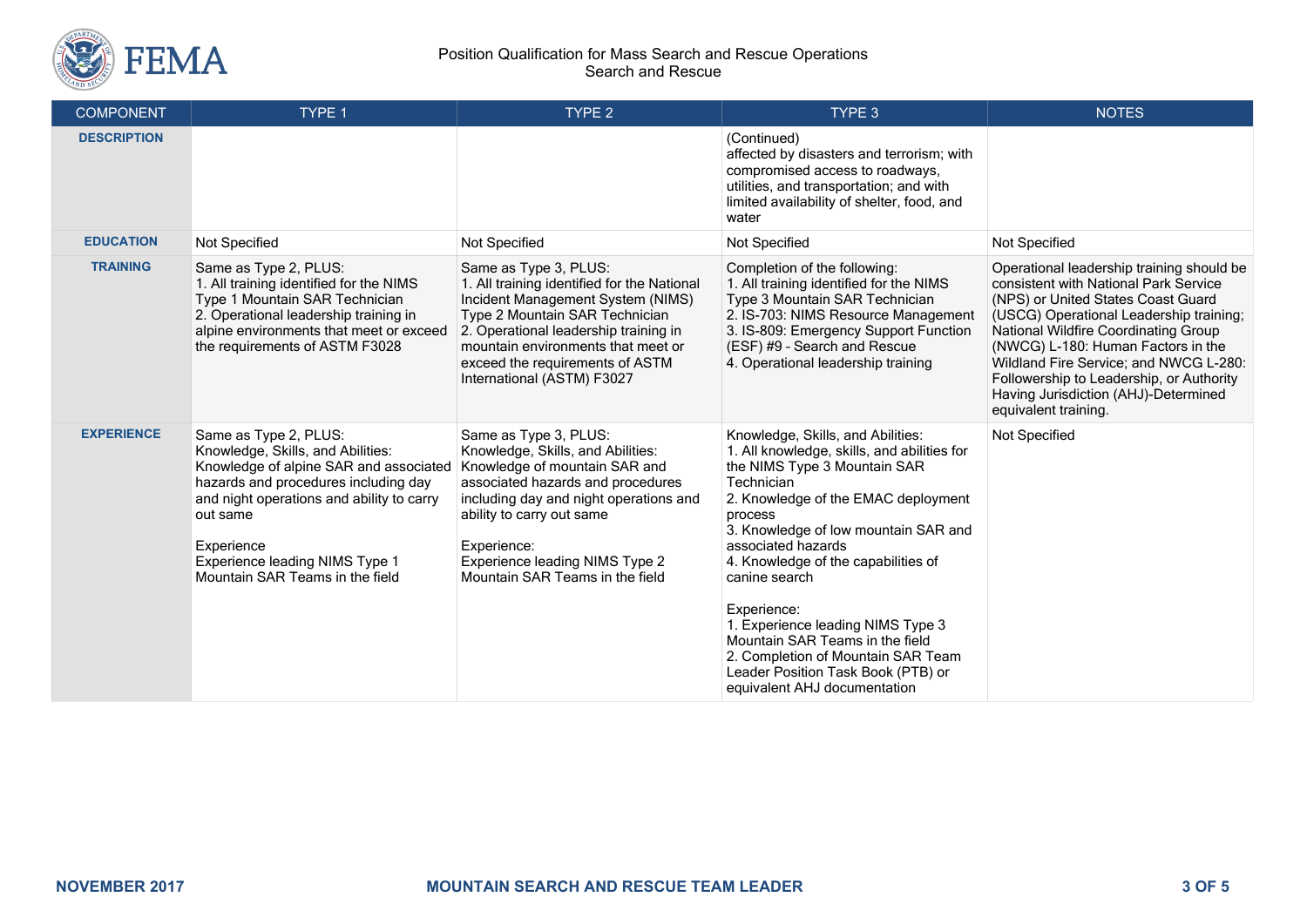

#### Position Qualification for Mass Search and Rescue Operations Search and Rescue

| <b>COMPONENT</b>   | TYPE 1                                                                                                                                                                                                                                                                                   | TYPE <sub>2</sub>                                                                                                                                                                                                                                                                           | TYPE 3                                                                                                                                                                                                                                                                                                                                                                                                                                                                                                    | <b>NOTES</b>                                                                                                                                                                                                                                                                                                                                                                                            |
|--------------------|------------------------------------------------------------------------------------------------------------------------------------------------------------------------------------------------------------------------------------------------------------------------------------------|---------------------------------------------------------------------------------------------------------------------------------------------------------------------------------------------------------------------------------------------------------------------------------------------|-----------------------------------------------------------------------------------------------------------------------------------------------------------------------------------------------------------------------------------------------------------------------------------------------------------------------------------------------------------------------------------------------------------------------------------------------------------------------------------------------------------|---------------------------------------------------------------------------------------------------------------------------------------------------------------------------------------------------------------------------------------------------------------------------------------------------------------------------------------------------------------------------------------------------------|
| <b>DESCRIPTION</b> |                                                                                                                                                                                                                                                                                          |                                                                                                                                                                                                                                                                                             | (Continued)<br>affected by disasters and terrorism; with<br>compromised access to roadways,<br>utilities, and transportation; and with<br>limited availability of shelter, food, and<br>water                                                                                                                                                                                                                                                                                                             |                                                                                                                                                                                                                                                                                                                                                                                                         |
| <b>EDUCATION</b>   | Not Specified                                                                                                                                                                                                                                                                            | Not Specified                                                                                                                                                                                                                                                                               | Not Specified                                                                                                                                                                                                                                                                                                                                                                                                                                                                                             | Not Specified                                                                                                                                                                                                                                                                                                                                                                                           |
| <b>TRAINING</b>    | Same as Type 2, PLUS:<br>1. All training identified for the NIMS<br>Type 1 Mountain SAR Technician<br>2. Operational leadership training in<br>alpine environments that meet or exceed<br>the requirements of ASTM F3028                                                                 | Same as Type 3, PLUS:<br>1. All training identified for the National<br>Incident Management System (NIMS)<br>Type 2 Mountain SAR Technician<br>2. Operational leadership training in<br>mountain environments that meet or<br>exceed the requirements of ASTM<br>International (ASTM) F3027 | Completion of the following:<br>1. All training identified for the NIMS<br>Type 3 Mountain SAR Technician<br>2. IS-703: NIMS Resource Management<br>3. IS-809: Emergency Support Function<br>(ESF) #9 - Search and Rescue<br>4. Operational leadership training                                                                                                                                                                                                                                           | Operational leadership training should be<br>consistent with National Park Service<br>(NPS) or United States Coast Guard<br>(USCG) Operational Leadership training;<br>National Wildfire Coordinating Group<br>(NWCG) L-180: Human Factors in the<br>Wildland Fire Service; and NWCG L-280:<br>Followership to Leadership, or Authority<br>Having Jurisdiction (AHJ)-Determined<br>equivalent training. |
| <b>EXPERIENCE</b>  | Same as Type 2, PLUS:<br>Knowledge, Skills, and Abilities:<br>Knowledge of alpine SAR and associated<br>hazards and procedures including day<br>and night operations and ability to carry<br>out same<br>Experience<br>Experience leading NIMS Type 1<br>Mountain SAR Teams in the field | Same as Type 3, PLUS:<br>Knowledge, Skills, and Abilities:<br>Knowledge of mountain SAR and<br>associated hazards and procedures<br>including day and night operations and<br>ability to carry out same<br>Experience:<br>Experience leading NIMS Type 2<br>Mountain SAR Teams in the field | Knowledge, Skills, and Abilities:<br>1. All knowledge, skills, and abilities for<br>the NIMS Type 3 Mountain SAR<br>Technician<br>2. Knowledge of the EMAC deployment<br>process<br>3. Knowledge of low mountain SAR and<br>associated hazards<br>4. Knowledge of the capabilities of<br>canine search<br>Experience:<br>1. Experience leading NIMS Type 3<br>Mountain SAR Teams in the field<br>2. Completion of Mountain SAR Team<br>Leader Position Task Book (PTB) or<br>equivalent AHJ documentation | Not Specified                                                                                                                                                                                                                                                                                                                                                                                           |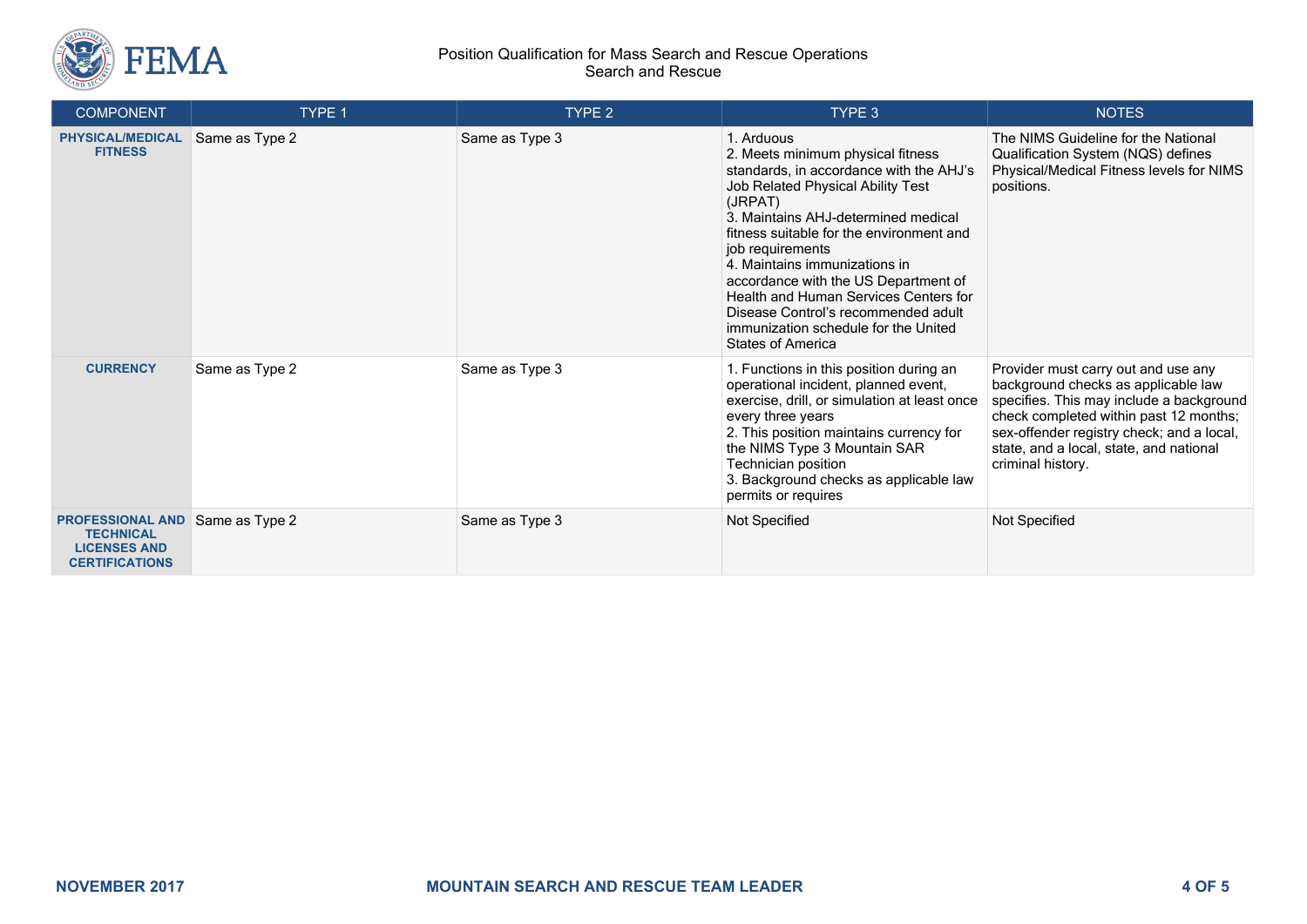

#### Position Qualification for Mass Search and Rescue Operations Search and Rescue

| <b>COMPONENT</b>                                                                            | TYPE 1         | TYPE 2         | TYPE 3                                                                                                                                                                                                                                                                                                                                                                                                                                                                         | <b>NOTES</b>                                                                                                                                                                                                                                                                  |
|---------------------------------------------------------------------------------------------|----------------|----------------|--------------------------------------------------------------------------------------------------------------------------------------------------------------------------------------------------------------------------------------------------------------------------------------------------------------------------------------------------------------------------------------------------------------------------------------------------------------------------------|-------------------------------------------------------------------------------------------------------------------------------------------------------------------------------------------------------------------------------------------------------------------------------|
| <b>PHYSICAL/MEDICAL</b><br><b>FITNESS</b>                                                   | Same as Type 2 | Same as Type 3 | 1. Arduous<br>2. Meets minimum physical fitness<br>standards, in accordance with the AHJ's<br>Job Related Physical Ability Test<br>(JRPAT)<br>3. Maintains AHJ-determined medical<br>fitness suitable for the environment and<br>job requirements<br>4. Maintains immunizations in<br>accordance with the US Department of<br>Health and Human Services Centers for<br>Disease Control's recommended adult<br>immunization schedule for the United<br><b>States of America</b> | The NIMS Guideline for the National<br>Qualification System (NQS) defines<br>Physical/Medical Fitness levels for NIMS<br>positions.                                                                                                                                           |
| <b>CURRENCY</b>                                                                             | Same as Type 2 | Same as Type 3 | 1. Functions in this position during an<br>operational incident, planned event,<br>exercise, drill, or simulation at least once<br>every three years<br>2. This position maintains currency for<br>the NIMS Type 3 Mountain SAR<br>Technician position<br>3. Background checks as applicable law<br>permits or requires                                                                                                                                                        | Provider must carry out and use any<br>background checks as applicable law<br>specifies. This may include a background<br>check completed within past 12 months;<br>sex-offender registry check; and a local,<br>state, and a local, state, and national<br>criminal history. |
| <b>PROFESSIONAL AND</b><br><b>TECHNICAL</b><br><b>LICENSES AND</b><br><b>CERTIFICATIONS</b> | Same as Type 2 | Same as Type 3 | Not Specified                                                                                                                                                                                                                                                                                                                                                                                                                                                                  | Not Specified                                                                                                                                                                                                                                                                 |